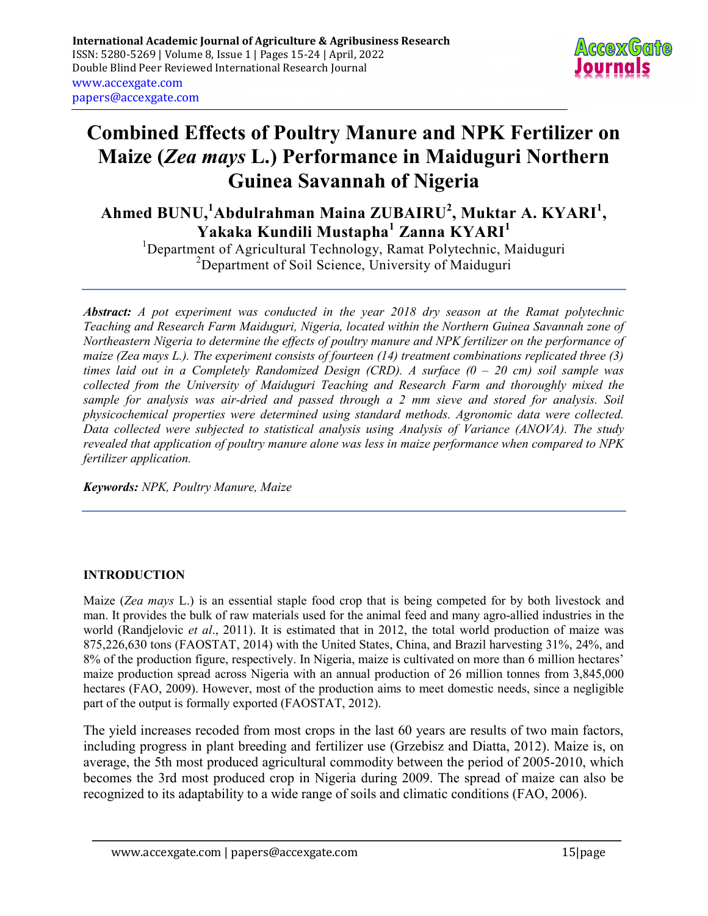

# Combined Effects of Poultry Manure and NPK Fertilizer on Maize (Zea mays L.) Performance in Maiduguri Northern Guinea Savannah of Nigeria

Ahmed BUNU,<sup>1</sup>Abdulrahman Maina ZUBAIRU<sup>2</sup>, Muktar A. KYARI<sup>1</sup>,  $\mathbf{{Y}}$ akaka Kundili Mustapha $^1$  Zanna KYARI $^1$ 

<sup>1</sup>Department of Agricultural Technology, Ramat Polytechnic, Maiduguri  $2$ Department of Soil Science, University of Maiduguri

Abstract: A pot experiment was conducted in the year 2018 dry season at the Ramat polytechnic Teaching and Research Farm Maiduguri, Nigeria, located within the Northern Guinea Savannah zone of Northeastern Nigeria to determine the effects of poultry manure and NPK fertilizer on the performance of maize (Zea mays L.). The experiment consists of fourteen (14) treatment combinations replicated three (3) times laid out in a Completely Randomized Design (CRD). A surface  $(0 - 20 \text{ cm})$  soil sample was collected from the University of Maiduguri Teaching and Research Farm and thoroughly mixed the sample for analysis was air-dried and passed through a 2 mm sieve and stored for analysis. Soil physicochemical properties were determined using standard methods. Agronomic data were collected. Data collected were subjected to statistical analysis using Analysis of Variance (ANOVA). The study revealed that application of poultry manure alone was less in maize performance when compared to NPK fertilizer application.

Keywords: NPK, Poultry Manure, Maize

## INTRODUCTION

Maize (Zea mays L.) is an essential staple food crop that is being competed for by both livestock and man. It provides the bulk of raw materials used for the animal feed and many agro-allied industries in the world (Randjelovic *et al.*, 2011). It is estimated that in 2012, the total world production of maize was 875,226,630 tons (FAOSTAT, 2014) with the United States, China, and Brazil harvesting 31%, 24%, and 8% of the production figure, respectively. In Nigeria, maize is cultivated on more than 6 million hectares' maize production spread across Nigeria with an annual production of 26 million tonnes from 3,845,000 hectares (FAO, 2009). However, most of the production aims to meet domestic needs, since a negligible part of the output is formally exported (FAOSTAT, 2012).

The yield increases recoded from most crops in the last 60 years are results of two main factors, including progress in plant breeding and fertilizer use (Grzebisz and Diatta, 2012). Maize is, on average, the 5th most produced agricultural commodity between the period of 2005-2010, which becomes the 3rd most produced crop in Nigeria during 2009. The spread of maize can also be recognized to its adaptability to a wide range of soils and climatic conditions (FAO, 2006).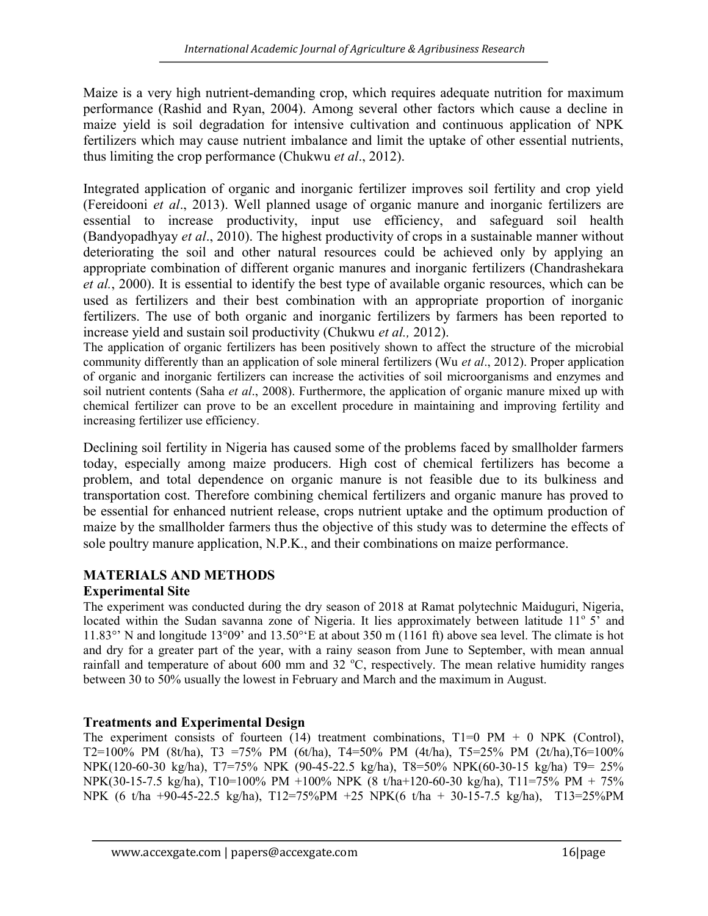Maize is a very high nutrient-demanding crop, which requires adequate nutrition for maximum performance (Rashid and Ryan, 2004). Among several other factors which cause a decline in maize yield is soil degradation for intensive cultivation and continuous application of NPK fertilizers which may cause nutrient imbalance and limit the uptake of other essential nutrients, thus limiting the crop performance (Chukwu et al., 2012).

Integrated application of organic and inorganic fertilizer improves soil fertility and crop yield (Fereidooni et al., 2013). Well planned usage of organic manure and inorganic fertilizers are essential to increase productivity, input use efficiency, and safeguard soil health (Bandyopadhyay et al., 2010). The highest productivity of crops in a sustainable manner without deteriorating the soil and other natural resources could be achieved only by applying an appropriate combination of different organic manures and inorganic fertilizers (Chandrashekara et al., 2000). It is essential to identify the best type of available organic resources, which can be used as fertilizers and their best combination with an appropriate proportion of inorganic fertilizers. The use of both organic and inorganic fertilizers by farmers has been reported to increase yield and sustain soil productivity (Chukwu et al., 2012).

The application of organic fertilizers has been positively shown to affect the structure of the microbial community differently than an application of sole mineral fertilizers (Wu et al., 2012). Proper application of organic and inorganic fertilizers can increase the activities of soil microorganisms and enzymes and soil nutrient contents (Saha et al., 2008). Furthermore, the application of organic manure mixed up with chemical fertilizer can prove to be an excellent procedure in maintaining and improving fertility and increasing fertilizer use efficiency.

Declining soil fertility in Nigeria has caused some of the problems faced by smallholder farmers today, especially among maize producers. High cost of chemical fertilizers has become a problem, and total dependence on organic manure is not feasible due to its bulkiness and transportation cost. Therefore combining chemical fertilizers and organic manure has proved to be essential for enhanced nutrient release, crops nutrient uptake and the optimum production of maize by the smallholder farmers thus the objective of this study was to determine the effects of sole poultry manure application, N.P.K., and their combinations on maize performance.

# MATERIALS AND METHODS

# Experimental Site

The experiment was conducted during the dry season of 2018 at Ramat polytechnic Maiduguri, Nigeria, located within the Sudan savanna zone of Nigeria. It lies approximately between latitude 11° 5' and 11.83°' N and longitude 13°09' and 13.50°'E at about 350 m (1161 ft) above sea level. The climate is hot and dry for a greater part of the year, with a rainy season from June to September, with mean annual rainfall and temperature of about 600 mm and 32  $^{\circ}$ C, respectively. The mean relative humidity ranges between 30 to 50% usually the lowest in February and March and the maximum in August.

# Treatments and Experimental Design

The experiment consists of fourteen (14) treatment combinations,  $T1=0$  PM + 0 NPK (Control), T2=100% PM (8t/ha), T3 =75% PM (6t/ha), T4=50% PM (4t/ha), T5=25% PM (2t/ha),T6=100% NPK(120-60-30 kg/ha), T7=75% NPK (90-45-22.5 kg/ha), T8=50% NPK(60-30-15 kg/ha) T9= 25% NPK(30-15-7.5 kg/ha), T10=100% PM +100% NPK (8 t/ha+120-60-30 kg/ha), T11=75% PM + 75% NPK (6 t/ha +90-45-22.5 kg/ha), T12=75%PM +25 NPK(6 t/ha + 30-15-7.5 kg/ha), T13=25%PM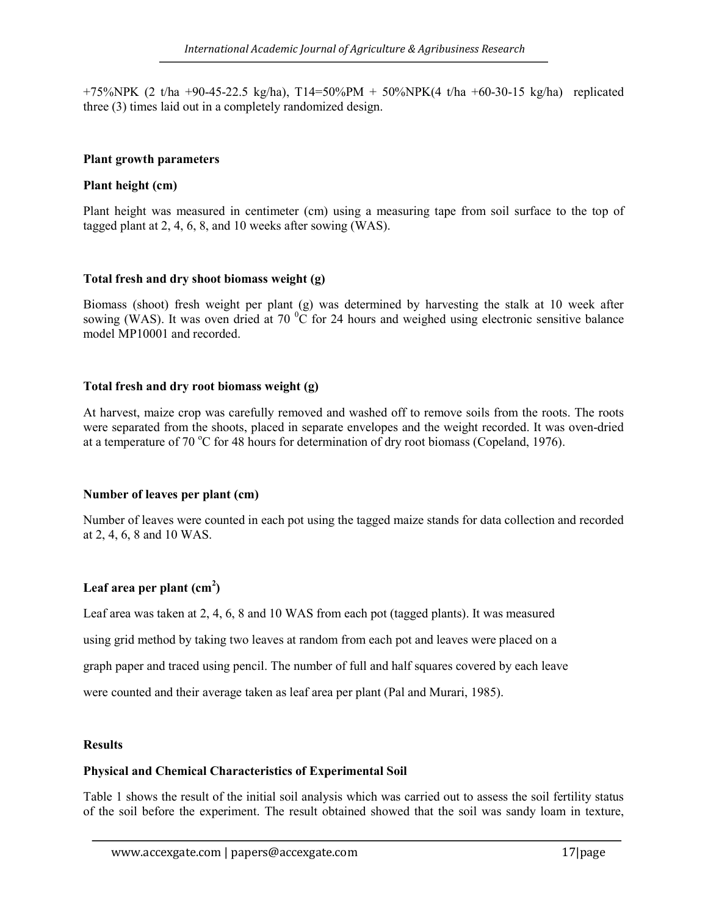$+75\%NPK$  (2 t/ha  $+90-45-22.5$  kg/ha), T14=50%PM  $+50\%NPK(4)$  t/ha  $+60-30-15$  kg/ha) replicated three (3) times laid out in a completely randomized design.

## Plant growth parameters

## Plant height (cm)

Plant height was measured in centimeter (cm) using a measuring tape from soil surface to the top of tagged plant at 2, 4, 6, 8, and 10 weeks after sowing (WAS).

## Total fresh and dry shoot biomass weight (g)

Biomass (shoot) fresh weight per plant (g) was determined by harvesting the stalk at 10 week after sowing (WAS). It was oven dried at 70  $\rm{^0C}$  for 24 hours and weighed using electronic sensitive balance model MP10001 and recorded.

## Total fresh and dry root biomass weight (g)

At harvest, maize crop was carefully removed and washed off to remove soils from the roots. The roots were separated from the shoots, placed in separate envelopes and the weight recorded. It was oven-dried at a temperature of 70 °C for 48 hours for determination of dry root biomass (Copeland, 1976).

#### Number of leaves per plant (cm)

Number of leaves were counted in each pot using the tagged maize stands for data collection and recorded at 2, 4, 6, 8 and 10 WAS.

## Leaf area per plant  $\text{(cm}^2\text{)}$

Leaf area was taken at 2, 4, 6, 8 and 10 WAS from each pot (tagged plants). It was measured

using grid method by taking two leaves at random from each pot and leaves were placed on a

graph paper and traced using pencil. The number of full and half squares covered by each leave

were counted and their average taken as leaf area per plant (Pal and Murari, 1985).

## **Results**

#### Physical and Chemical Characteristics of Experimental Soil

Table 1 shows the result of the initial soil analysis which was carried out to assess the soil fertility status of the soil before the experiment. The result obtained showed that the soil was sandy loam in texture,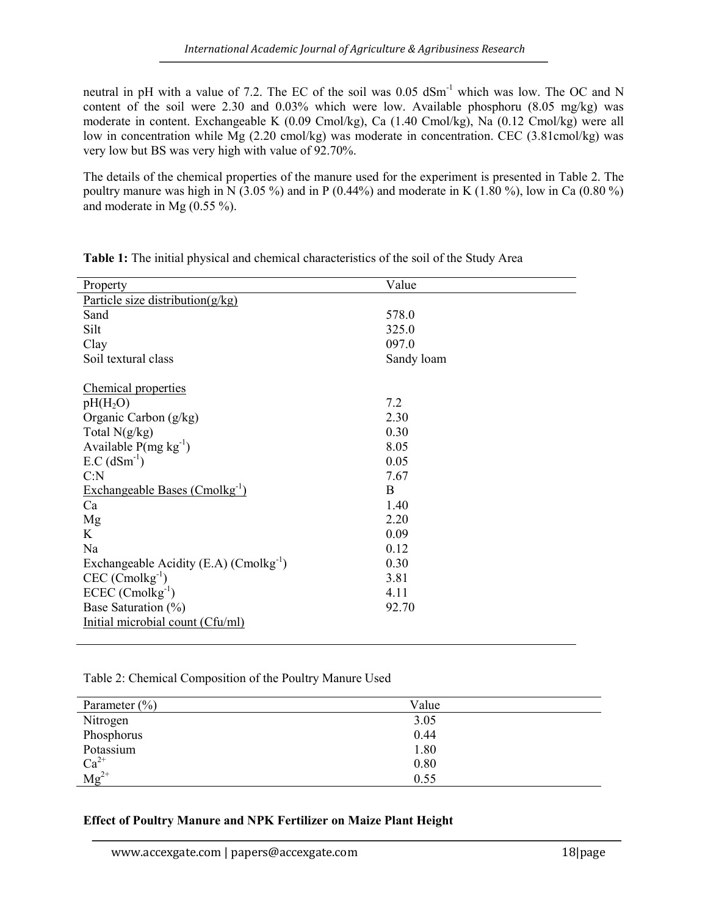neutral in pH with a value of 7.2. The EC of the soil was 0.05 dSm<sup>-1</sup> which was low. The OC and N content of the soil were 2.30 and 0.03% which were low. Available phosphoru (8.05 mg/kg) was moderate in content. Exchangeable K (0.09 Cmol/kg), Ca (1.40 Cmol/kg), Na (0.12 Cmol/kg) were all low in concentration while Mg (2.20 cmol/kg) was moderate in concentration. CEC (3.81 cmol/kg) was very low but BS was very high with value of 92.70%.

The details of the chemical properties of the manure used for the experiment is presented in Table 2. The poultry manure was high in  $\overline{N}$  (3.05 %) and in P (0.44%) and moderate in K (1.80 %), low in Ca (0.80 %) and moderate in Mg (0.55 %).

| Property                                    | Value      |  |  |  |  |  |
|---------------------------------------------|------------|--|--|--|--|--|
| Particle size distribution $(g/kg)$         |            |  |  |  |  |  |
| Sand                                        | 578.0      |  |  |  |  |  |
| Silt                                        | 325.0      |  |  |  |  |  |
| Clay                                        | 097.0      |  |  |  |  |  |
| Soil textural class                         | Sandy loam |  |  |  |  |  |
|                                             |            |  |  |  |  |  |
| Chemical properties                         |            |  |  |  |  |  |
| $pH(H_2O)$                                  | 7.2        |  |  |  |  |  |
| Organic Carbon (g/kg)                       | 2.30       |  |  |  |  |  |
| Total $N(g/kg)$                             | 0.30       |  |  |  |  |  |
| Available $P(mg kg^{-1})$                   | 8.05       |  |  |  |  |  |
| $E.C (dSm-1)$                               | 0.05       |  |  |  |  |  |
| C: N                                        | 7.67       |  |  |  |  |  |
| Exchangeable Bases (Cmolkg <sup>-1</sup> )  | B          |  |  |  |  |  |
| Ca                                          | 1.40       |  |  |  |  |  |
| Mg                                          | 2.20       |  |  |  |  |  |
| K                                           | 0.09       |  |  |  |  |  |
| Na                                          | 0.12       |  |  |  |  |  |
| Exchangeable Acidity (E.A) $(Comolkg^{-1})$ | 0.30       |  |  |  |  |  |
| $CEC$ (Cmolkg <sup>-1</sup> )               | 3.81       |  |  |  |  |  |
| $ECEC$ (Cmolkg <sup>-1</sup> )              | 4.11       |  |  |  |  |  |
| Base Saturation (%)                         | 92.70      |  |  |  |  |  |
| Initial microbial count (Cfu/ml)            |            |  |  |  |  |  |
|                                             |            |  |  |  |  |  |

Table 1: The initial physical and chemical characteristics of the soil of the Study Area

Table 2: Chemical Composition of the Poultry Manure Used

| Parameter $(\% )$      | Value |  |
|------------------------|-------|--|
| Nitrogen               | 3.05  |  |
| Phosphorus             | 0.44  |  |
| Potassium              | 1.80  |  |
|                        | 0.80  |  |
| $Ca^{2+}$<br>$Mg^{2+}$ | 0.55  |  |

## Effect of Poultry Manure and NPK Fertilizer on Maize Plant Height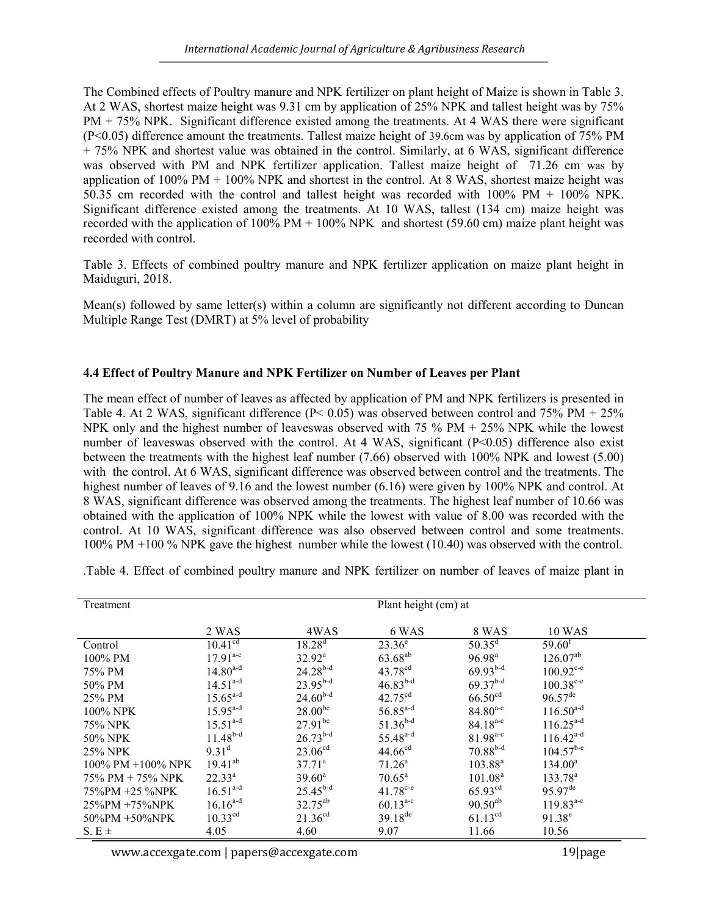The Combined effects of Poultry manure and NPK fertilizer on plant height of Maize is shown in Table 3. At 2 WAS, shortest maize height was 9.31 cm by application of 25% NPK and tallest height was by 75% PM + 75% NPK. Significant difference existed among the treatments. At 4 WAS there were significant (P<0.05) difference amount the treatments. Tallest maize height of 39.6cm was by application of 75% PM + 75% NPK and shortest value was obtained in the control. Similarly, at 6 WAS, significant difference was observed with PM and NPK fertilizer application. Tallest maize height of 71.26 cm was by application of 100% PM + 100% NPK and shortest in the control. At 8 WAS, shortest maize height was 50.35 cm recorded with the control and tallest height was recorded with 100% PM + 100% NPK. Significant difference existed among the treatments. At 10 WAS, tallest (134 cm) maize height was recorded with the application of 100% PM + 100% NPK and shortest (59.60 cm) maize plant height was recorded with control.

Table 3. Effects of combined poultry manure and NPK fertilizer application on maize plant height in Maiduguri, 2018.

Mean(s) followed by same letter(s) within a column are significantly not different according to Duncan Multiple Range Test (DMRT) at 5% level of probability

## 4.4 Effect of Poultry Manure and NPK Fertilizer on Number of Leaves per Plant

The mean effect of number of leaves as affected by application of PM and NPK fertilizers is presented in Table 4. At 2 WAS, significant difference (P< 0.05) was observed between control and 75% PM + 25% NPK only and the highest number of leaveswas observed with 75 % PM + 25% NPK while the lowest number of leaveswas observed with the control. At 4 WAS, significant (P<0.05) difference also exist between the treatments with the highest leaf number (7.66) observed with 100% NPK and lowest (5.00) with the control. At 6 WAS, significant difference was observed between control and the treatments. The highest number of leaves of 9.16 and the lowest number (6.16) were given by 100% NPK and control. At 8 WAS, significant difference was observed among the treatments. The highest leaf number of 10.66 was obtained with the application of 100% NPK while the lowest with value of 8.00 was recorded with the control. At 10 WAS, significant difference was also observed between control and some treatments. 100% PM +100 % NPK gave the highest number while the lowest (10.40) was observed with the control.

| Treatment               | Plant height (cm) at |                     |                      |                     |                       |
|-------------------------|----------------------|---------------------|----------------------|---------------------|-----------------------|
|                         | 2 WAS                | 4WAS                | 6 WAS                | 8 WAS               | <b>10 WAS</b>         |
| Control                 | $10.41^{cd}$         | $18.28^{d}$         | $23.36^e$            | $50.35^{\text{d}}$  | $59.60^{\mathrm{f}}$  |
| $100\%$ PM              | $17.91^{\text{a-c}}$ | $32.92^{\rm a}$     | $63.68^{ab}$         | 96.98 <sup>a</sup>  | $126.07^{ab}$         |
| 75% PM                  | $14.80^{a-d}$        | $24.28^{b-d}$       | $43.78^{cd}$         | $69.93^{b-d}$       | $100.92^{\text{c-e}}$ |
| 50% PM                  | $14.51^{a-d}$        | $23.95^{b-d}$       | $46.83^{b-d}$        | $69.37^{b-d}$       | $100.38^{\circ -e}$   |
| $25\%$ PM               | $15.65^{a-d}$        | $24.60^{b-d}$       | $42.75^{\text{cd}}$  | 66.50 <sup>cd</sup> | $96.57^{\text{de}}$   |
| $100\%$ NPK             | $15.95^{a-d}$        | $28.00^{bc}$        | $56.85^{a-d}$        | $84.80^{a-c}$       | $116.50^{a-d}$        |
| 75% NPK                 | $15.51^{a-d}$        | $27.91^{bc}$        | $51.36^{b-d}$        | $84.18^{a-c}$       | $116.25^{a-d}$        |
| 50% NPK                 | $11.48^{b-d}$        | $26.73^{b-d}$       | $55.48^{a-d}$        | $81.98^{a-c}$       | $116.42^{a-d}$        |
| 25% NPK                 | 9.31 <sup>d</sup>    | 23.06 <sup>cd</sup> | 44.66 <sup>cd</sup>  | $70.88^{b-d}$       | $104.57^{b-e}$        |
| $100\%$ PM $+100\%$ NPK | $19.41^{ab}$         | $37.71^{\circ}$     | $71.26^a$            | $103.88^{a}$        | $134.00^a$            |
| 75% PM + 75% NPK        | $22.33^{\circ}$      | $39.60^{\circ}$     | $70.65^{\circ}$      | 101.08 <sup>a</sup> | $133.78^{\circ}$      |
| 75%PM +25 %NPK          | $16.51^{a-d}$        | $25.45^{b-d}$       | $41.78^{\text{c-e}}$ | 65.93 <sup>cd</sup> | $95.97$ <sup>de</sup> |
| $25\%$ PM +75%NPK       | $16.16^{a-d}$        | $32.75^{ab}$        | $60.13^{a-c}$        | $90.50^{ab}$        | $119.83^{a-c}$        |
| $50\%PM + 50\%NPK$      | 10.33 <sup>cd</sup>  | 21.36 <sup>cd</sup> | $39.18^{de}$         | $61.13^{cd}$        | $91.38^e$             |
| $S. E \pm$              | 4.05                 | 4.60                | 9.07                 | 11.66               | 10.56                 |

.Table 4. Effect of combined poultry manure and NPK fertilizer on number of leaves of maize plant in

www.accexgate.com | papers@accexgate.com 19|page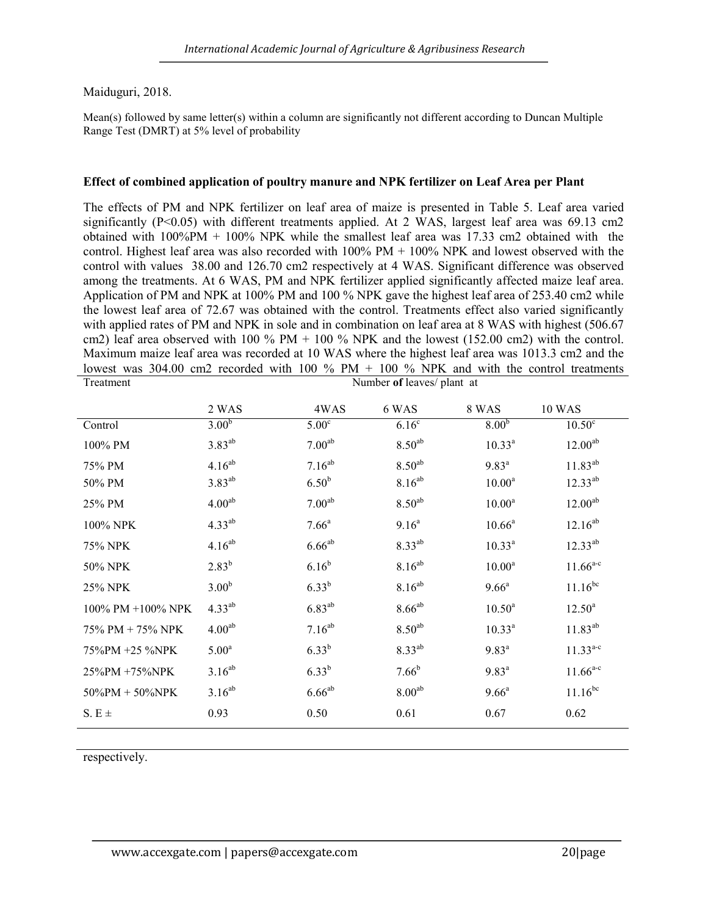## Maiduguri, 2018.

Mean(s) followed by same letter(s) within a column are significantly not different according to Duncan Multiple Range Test (DMRT) at 5% level of probability

#### Effect of combined application of poultry manure and NPK fertilizer on Leaf Area per Plant

The effects of PM and NPK fertilizer on leaf area of maize is presented in Table 5. Leaf area varied significantly (P<0.05) with different treatments applied. At 2 WAS, largest leaf area was 69.13 cm2 obtained with 100%PM + 100% NPK while the smallest leaf area was 17.33 cm2 obtained with the control. Highest leaf area was also recorded with  $100\%$  PM  $+ 100\%$  NPK and lowest observed with the control with values 38.00 and 126.70 cm2 respectively at 4 WAS. Significant difference was observed among the treatments. At 6 WAS, PM and NPK fertilizer applied significantly affected maize leaf area. Application of PM and NPK at 100% PM and 100 % NPK gave the highest leaf area of 253.40 cm2 while the lowest leaf area of 72.67 was obtained with the control. Treatments effect also varied significantly with applied rates of PM and NPK in sole and in combination on leaf area at 8 WAS with highest (506.67 cm2) leaf area observed with  $100\%$  PM +  $100\%$  NPK and the lowest (152.00 cm2) with the control. Maximum maize leaf area was recorded at 10 WAS where the highest leaf area was 1013.3 cm2 and the lowest was 304.00 cm2 recorded with 100 % PM + 100 % NPK and with the control treatments

| Treatment          | Number of leaves/ plant at |                    |                    |                    |                     |
|--------------------|----------------------------|--------------------|--------------------|--------------------|---------------------|
|                    | 2 WAS                      | 4WAS               | 6 WAS              | 8 WAS              | <b>10 WAS</b>       |
| Control            | 3.00 <sup>b</sup>          | 5.00 <sup>c</sup>  | 6.16 <sup>c</sup>  | 8.00 <sup>b</sup>  | $10.50^{\circ}$     |
| 100% PM            | $3.83^{ab}$                | 7.00 <sup>ab</sup> | $8.50^{ab}$        | $10.33^{a}$        | 12.00 <sup>ab</sup> |
| 75% PM             | $4.16^{ab}$                | $7.16^{ab}$        | $8.50^{ab}$        | $9.83^{a}$         | $11.83^{ab}$        |
| 50% PM             | $3.83^{ab}$                | 6.50 <sup>b</sup>  | $8.16^{ab}$        | 10.00 <sup>a</sup> | $12.33^{ab}$        |
| 25% PM             | 4.00 <sup>ab</sup>         | 7.00 <sup>ab</sup> | 8.50 <sup>ab</sup> | 10.00 <sup>a</sup> | $12.00^{ab}$        |
| 100% NPK           | $4.33^{ab}$                | $7.66^{\circ}$     | 9.16 <sup>a</sup>  | $10.66^a$          | $12.16^{ab}$        |
| 75% NPK            | $4.16^{ab}$                | $6.66^{ab}$        | $8.33^{ab}$        | $10.33^{a}$        | $12.33^{ab}$        |
| 50% NPK            | $2.83^{b}$                 | $6.16^{b}$         | $8.16^{ab}$        | 10.00 <sup>a</sup> | $11.66^{a-c}$       |
| 25% NPK            | 3.00 <sup>b</sup>          | $6.33^{b}$         | $8.16^{ab}$        | $9.66^{\circ}$     | $11.16^{bc}$        |
| 100% PM +100% NPK  | $4.33^{ab}$                | $6.83^{ab}$        | $8.66^{ab}$        | $10.50^a$          | $12.50^{\rm a}$     |
| 75% PM + 75% NPK   | 4.00 <sup>ab</sup>         | $7.16^{ab}$        | $8.50^{ab}$        | $10.33^{a}$        | $11.83^{ab}$        |
| 75%PM +25 %NPK     | 5.00 <sup>a</sup>          | $6.33^{b}$         | $8.33^{ab}$        | $9.83^{a}$         | $11.33^{a-c}$       |
| 25%PM +75%NPK      | $3.16^{ab}$                | $6.33^{b}$         | $7.66^{b}$         | $9.83^{a}$         | $11.66^{a-c}$       |
| $50\%PM + 50\%NPK$ | $3.16^{ab}$                | $6.66^{ab}$        | 8.00 <sup>ab</sup> | $9.66^{\rm a}$     | $11.16^{bc}$        |
| S. E $\pm$         | 0.93                       | 0.50               | 0.61               | 0.67               | 0.62                |

respectively.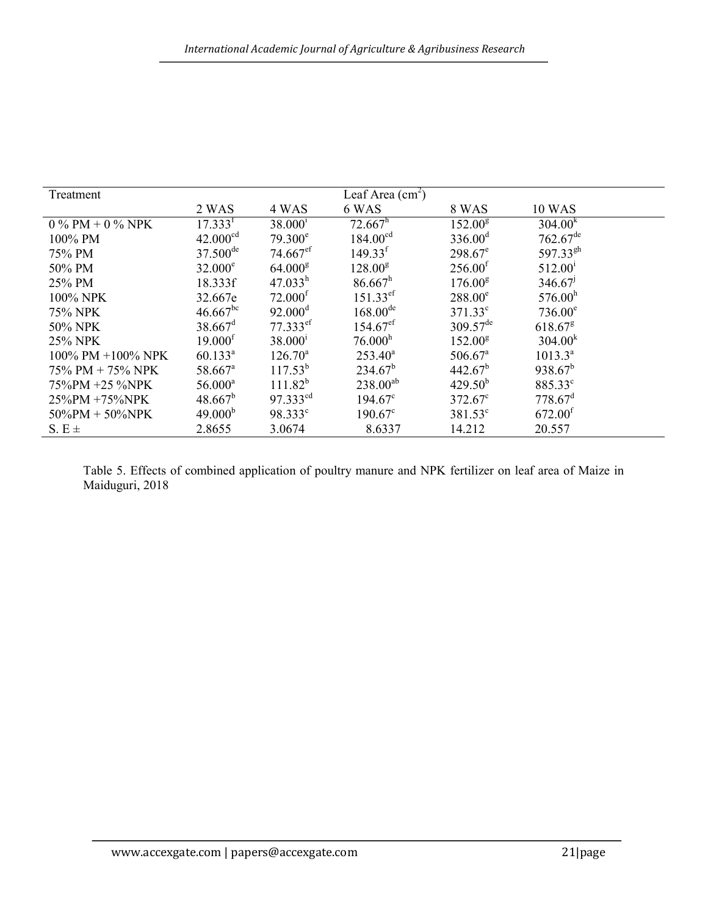| Treatment          | Leaf Area $(cm2)$      |                        |                        |                       |                        |
|--------------------|------------------------|------------------------|------------------------|-----------------------|------------------------|
|                    | 2 WAS                  | 4 WAS                  | 6 WAS                  | 8 WAS                 | <b>10 WAS</b>          |
| 0 % PM + 0 % NPK   | 17.333 <sup>f</sup>    | $38.000^1$             | $72.667^h$             | 152.00 <sup>g</sup>   | 304.00 <sup>k</sup>    |
| 100% PM            | 42.000 <sup>cd</sup>   | $79.300^{\circ}$       | 184.00 <sup>cd</sup>   | 336.00 <sup>d</sup>   | $762.67$ <sup>de</sup> |
| 75% PM             | $37.500$ <sup>de</sup> | $74.667$ <sup>ef</sup> | 149.33 <sup>f</sup>    | $298.67^e$            | 597.33 <sup>gh</sup>   |
| 50% PM             | $32.000^e$             | 64.000 <sup>g</sup>    | $128.00^{8}$           | 256.00 <sup>f</sup>   | $512.00^{\rm i}$       |
| 25% PM             | 18.333f                | 47.033 <sup>h</sup>    | 86.667 <sup>h</sup>    | 176.00 <sup>g</sup>   | 346.67                 |
| 100% NPK           | 32.667e                | 72.000 <sup>f</sup>    | $151.33$ <sup>ef</sup> | $288.00^e$            | 576.00 <sup>h</sup>    |
| 75% NPK            | $46.667^{bc}$          | $92.000^{\rm d}$       | $168.00^{de}$          | $371.33^{\circ}$      | $736.00^e$             |
| 50% NPK            | $38.667$ <sup>d</sup>  | $77.333$ <sup>ef</sup> | $154.67$ <sup>ef</sup> | $309.57^{\text{de}}$  | $618.67$ <sup>g</sup>  |
| 25% NPK            | 19.000 <sup>f</sup>    | $38.000^{\rm i}$       | 76.000 <sup>h</sup>    | 152.00 <sup>g</sup>   | 304.00 <sup>k</sup>    |
| 100% PM +100% NPK  | $60.133^{\text{a}}$    | $126.70^a$             | $253.40^a$             | $506.67$ <sup>a</sup> | $1013.3^{a}$           |
| 75% PM + 75% NPK   | $58.667$ <sup>a</sup>  | $117.53^{b}$           | $234.67^b$             | $442.67^b$            | $938.67^b$             |
| 75%PM +25 %NPK     | $56.000^a$             | $111.82^{b}$           | $238.00^{ab}$          | $429.50^{b}$          | 885.33 <sup>c</sup>    |
| $25\%$ PM +75%NPK  | $48.667^b$             | $97.333$ <sup>cd</sup> | $194.67^{\circ}$       | $372.67^{\circ}$      | $778.67$ <sup>d</sup>  |
| $50\%PM + 50\%NPK$ | 49.000 <sup>b</sup>    | $98.333^{\circ}$       | $190.67^{\circ}$       | $381.53^{\circ}$      | 672.00 <sup>f</sup>    |
| S. $E \pm$         | 2.8655                 | 3.0674                 | 8.6337                 | 14.212                | 20.557                 |

Table 5. Effects of combined application of poultry manure and NPK fertilizer on leaf area of Maize in Maiduguri, 2018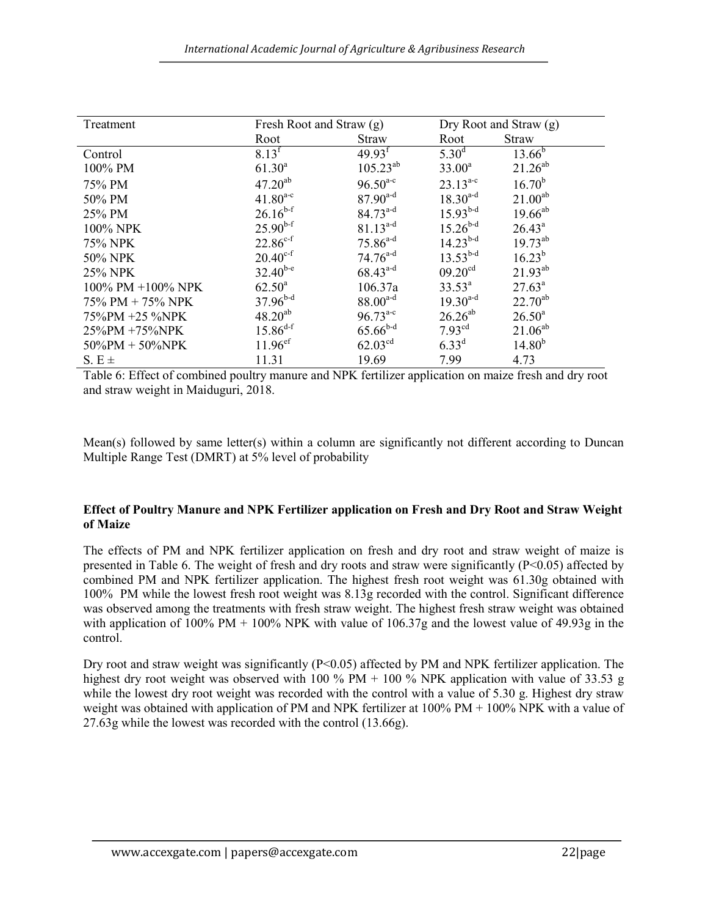| Treatment              | Fresh Root and Straw (g) |                     | Dry Root and Straw $(g)$ |                 |
|------------------------|--------------------------|---------------------|--------------------------|-----------------|
|                        | Root                     | <b>Straw</b>        | Root                     | Straw           |
| Control                | 8.13 <sup>f</sup>        | 49.93 <sup>f</sup>  | $5.30^{\rm d}$           | $13.66^{b}$     |
| 100% PM                | $61.30^{a}$              | $105.23^{ab}$       | $33.00^a$                | $21.26^{ab}$    |
| 75% PM                 | $47.20^{ab}$             | $96.50^{a-c}$       | $23.13^{a-c}$            | $16.70^{b}$     |
| 50% PM                 | $41.80^{a-c}$            | $87.90^{a-d}$       | $18.30^{a-d}$            | $21.00^{ab}$    |
| 25% PM                 | $26.16^{b-f}$            | $84.73^{a-d}$       | $15.93^{b-d}$            | $19.66^{ab}$    |
| 100% NPK               | $25.90^{b-f}$            | $81.13^{a-d}$       | $15.26^{b-d}$            | $26.43^a$       |
| 75% NPK                | $22.86^{c-f}$            | $75.86^{a-d}$       | $14.23^{b-d}$            | $19.73^{ab}$    |
| 50% NPK                | $20.40^{c-f}$            | $74.76^{a-d}$       | $13.53^{b-d}$            | $16.23^{b}$     |
| 25% NPK                | $32.40^{b-e}$            | $68.43^{a-d}$       | 09.20 <sup>cd</sup>      | $21.93^{ab}$    |
| 100% PM +100% NPK      | $62.50^{\circ}$          | 106.37a             | $33.53^{\circ}$          | $27.63^a$       |
| $75\%$ PM + $75\%$ NPK | $37.96^{b-d}$            | $88.00^{a-d}$       | $19.30^{a-d}$            | $22.70^{ab}$    |
| 75%PM +25 %NPK         | $48.20^{ab}$             | $96.73^{a-c}$       | $26.26^{ab}$             | $26.50^{\circ}$ |
| 25%PM +75%NPK          | $15.86^{d-f}$            | $65.66^{b-d}$       | 7.93 <sup>cd</sup>       | $21.06^{ab}$    |
| $50\%PM + 50\%NPK$     | $11.96$ <sup>ef</sup>    | 62.03 <sup>cd</sup> | $6.33^{d}$               | $14.80^{b}$     |
| $S.E \pm$              | 11.31                    | 19.69               | 7.99                     | 4.73            |

Table 6: Effect of combined poultry manure and NPK fertilizer application on maize fresh and dry root and straw weight in Maiduguri, 2018.

Mean(s) followed by same letter(s) within a column are significantly not different according to Duncan Multiple Range Test (DMRT) at 5% level of probability

## Effect of Poultry Manure and NPK Fertilizer application on Fresh and Dry Root and Straw Weight of Maize

The effects of PM and NPK fertilizer application on fresh and dry root and straw weight of maize is presented in Table 6. The weight of fresh and dry roots and straw were significantly (P<0.05) affected by combined PM and NPK fertilizer application. The highest fresh root weight was 61.30g obtained with 100% PM while the lowest fresh root weight was 8.13g recorded with the control. Significant difference was observed among the treatments with fresh straw weight. The highest fresh straw weight was obtained with application of 100% PM + 100% NPK with value of 106.37g and the lowest value of 49.93g in the control.

Dry root and straw weight was significantly  $(P<0.05)$  affected by PM and NPK fertilizer application. The highest dry root weight was observed with 100 % PM + 100 % NPK application with value of 33.53 g while the lowest dry root weight was recorded with the control with a value of 5.30 g. Highest dry straw weight was obtained with application of PM and NPK fertilizer at 100% PM + 100% NPK with a value of 27.63g while the lowest was recorded with the control (13.66g).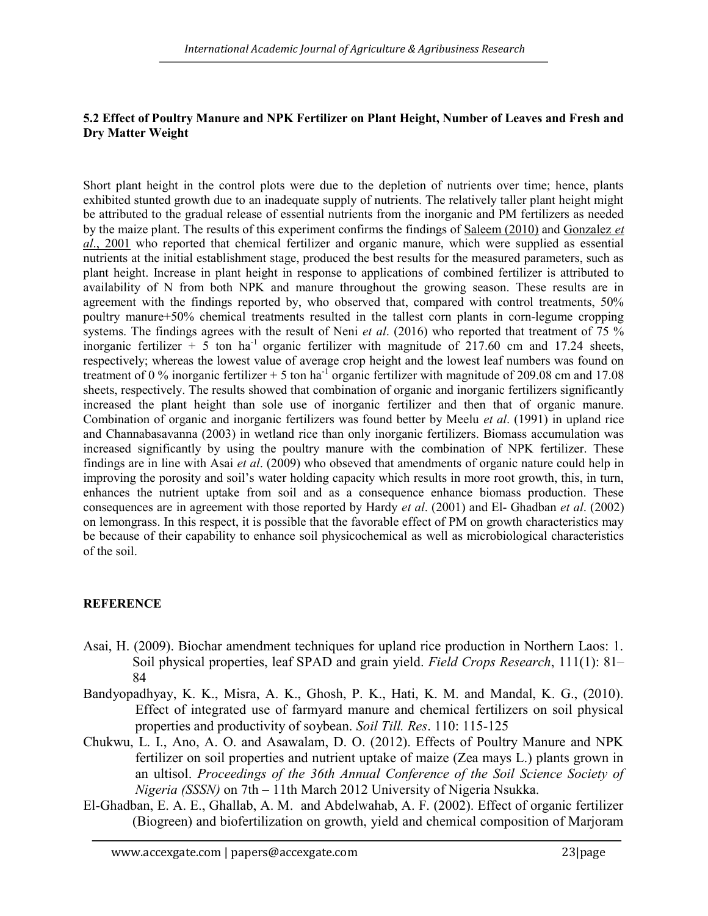## 5.2 Effect of Poultry Manure and NPK Fertilizer on Plant Height, Number of Leaves and Fresh and Dry Matter Weight

Short plant height in the control plots were due to the depletion of nutrients over time; hence, plants exhibited stunted growth due to an inadequate supply of nutrients. The relatively taller plant height might be attributed to the gradual release of essential nutrients from the inorganic and PM fertilizers as needed by the maize plant. The results of this experiment confirms the findings of Saleem (2010) and Gonzalez et al., 2001 who reported that chemical fertilizer and organic manure, which were supplied as essential nutrients at the initial establishment stage, produced the best results for the measured parameters, such as plant height. Increase in plant height in response to applications of combined fertilizer is attributed to availability of N from both NPK and manure throughout the growing season. These results are in agreement with the findings reported by, who observed that, compared with control treatments, 50% poultry manure+50% chemical treatments resulted in the tallest corn plants in corn-legume cropping systems. The findings agrees with the result of Neni *et al.* (2016) who reported that treatment of  $75\%$ inorganic fertilizer + 5 ton ha<sup>-1</sup> organic fertilizer with magnitude of  $217.60$  cm and 17.24 sheets, respectively; whereas the lowest value of average crop height and the lowest leaf numbers was found on treatment of 0 % inorganic fertilizer + 5 ton ha<sup>-1</sup> organic fertilizer with magnitude of 209.08 cm and 17.08 sheets, respectively. The results showed that combination of organic and inorganic fertilizers significantly increased the plant height than sole use of inorganic fertilizer and then that of organic manure. Combination of organic and inorganic fertilizers was found better by Meelu et al. (1991) in upland rice and Channabasavanna (2003) in wetland rice than only inorganic fertilizers. Biomass accumulation was increased significantly by using the poultry manure with the combination of NPK fertilizer. These findings are in line with Asai et al. (2009) who obseved that amendments of organic nature could help in improving the porosity and soil's water holding capacity which results in more root growth, this, in turn, enhances the nutrient uptake from soil and as a consequence enhance biomass production. These consequences are in agreement with those reported by Hardy et al. (2001) and El- Ghadban et al. (2002) on lemongrass. In this respect, it is possible that the favorable effect of PM on growth characteristics may be because of their capability to enhance soil physicochemical as well as microbiological characteristics of the soil.

# **REFERENCE**

- Asai, H. (2009). Biochar amendment techniques for upland rice production in Northern Laos: 1. Soil physical properties, leaf SPAD and grain yield. Field Crops Research, 111(1): 81– 84
- Bandyopadhyay, K. K., Misra, A. K., Ghosh, P. K., Hati, K. M. and Mandal, K. G., (2010). Effect of integrated use of farmyard manure and chemical fertilizers on soil physical properties and productivity of soybean. Soil Till. Res. 110: 115-125
- Chukwu, L. I., Ano, A. O. and Asawalam, D. O. (2012). Effects of Poultry Manure and NPK fertilizer on soil properties and nutrient uptake of maize (Zea mays L.) plants grown in an ultisol. Proceedings of the 36th Annual Conference of the Soil Science Society of Nigeria (SSSN) on 7th – 11th March 2012 University of Nigeria Nsukka.
- El-Ghadban, E. A. E., Ghallab, A. M. and Abdelwahab, A. F. (2002). Effect of organic fertilizer (Biogreen) and biofertilization on growth, yield and chemical composition of Marjoram